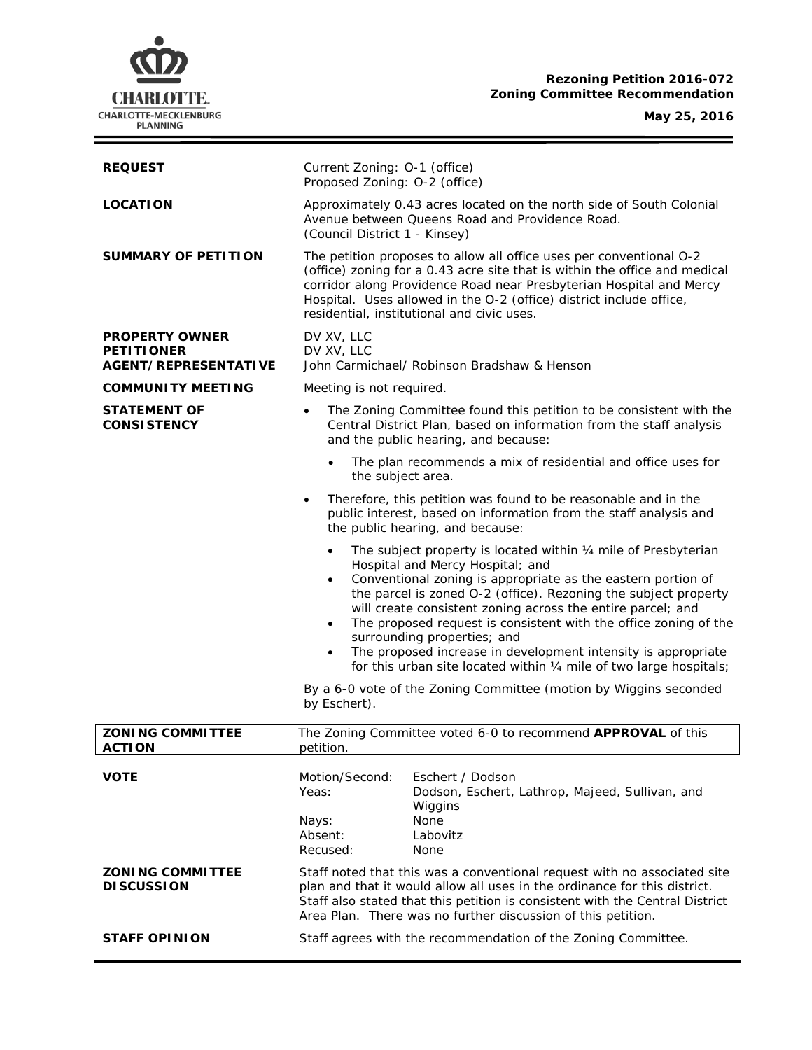

## **Rezoning Petition 2016-072 Zoning Committee Recommendation**

**May 25, 2016**

÷.

| <b>REQUEST</b>                                                            | Current Zoning: O-1 (office)<br>Proposed Zoning: O-2 (office)                                                                                                                                                                                                                                                                                                                                                                                                                                                                                                              |
|---------------------------------------------------------------------------|----------------------------------------------------------------------------------------------------------------------------------------------------------------------------------------------------------------------------------------------------------------------------------------------------------------------------------------------------------------------------------------------------------------------------------------------------------------------------------------------------------------------------------------------------------------------------|
| <b>LOCATION</b>                                                           | Approximately 0.43 acres located on the north side of South Colonial<br>Avenue between Queens Road and Providence Road.<br>(Council District 1 - Kinsey)                                                                                                                                                                                                                                                                                                                                                                                                                   |
| <b>SUMMARY OF PETITION</b>                                                | The petition proposes to allow all office uses per conventional O-2<br>(office) zoning for a 0.43 acre site that is within the office and medical<br>corridor along Providence Road near Presbyterian Hospital and Mercy<br>Hospital. Uses allowed in the O-2 (office) district include office,<br>residential, institutional and civic uses.                                                                                                                                                                                                                              |
| <b>PROPERTY OWNER</b><br><b>PETITIONER</b><br><b>AGENT/REPRESENTATIVE</b> | DV XV, LLC<br>DV XV, LLC<br>John Carmichael/ Robinson Bradshaw & Henson                                                                                                                                                                                                                                                                                                                                                                                                                                                                                                    |
| <b>COMMUNITY MEETING</b>                                                  | Meeting is not required.                                                                                                                                                                                                                                                                                                                                                                                                                                                                                                                                                   |
| <b>STATEMENT OF</b><br><b>CONSISTENCY</b>                                 | The Zoning Committee found this petition to be consistent with the<br>$\bullet$<br>Central District Plan, based on information from the staff analysis<br>and the public hearing, and because:                                                                                                                                                                                                                                                                                                                                                                             |
|                                                                           | The plan recommends a mix of residential and office uses for<br>$\bullet$<br>the subject area.                                                                                                                                                                                                                                                                                                                                                                                                                                                                             |
|                                                                           | Therefore, this petition was found to be reasonable and in the<br>$\bullet$<br>public interest, based on information from the staff analysis and<br>the public hearing, and because:                                                                                                                                                                                                                                                                                                                                                                                       |
|                                                                           | The subject property is located within 1/4 mile of Presbyterian<br>$\bullet$<br>Hospital and Mercy Hospital; and<br>Conventional zoning is appropriate as the eastern portion of<br>the parcel is zoned O-2 (office). Rezoning the subject property<br>will create consistent zoning across the entire parcel; and<br>The proposed request is consistent with the office zoning of the<br>$\bullet$<br>surrounding properties; and<br>The proposed increase in development intensity is appropriate<br>for this urban site located within 1/4 mile of two large hospitals; |
|                                                                           | By a 6-0 vote of the Zoning Committee (motion by Wiggins seconded<br>by Eschert).                                                                                                                                                                                                                                                                                                                                                                                                                                                                                          |
| <b>ZONING COMMITTEE</b><br><b>ACTION</b>                                  | The Zoning Committee voted 6-0 to recommend APPROVAL of this<br>petition.                                                                                                                                                                                                                                                                                                                                                                                                                                                                                                  |
| <b>VOTE</b>                                                               | Motion/Second:<br>Eschert / Dodson<br>Yeas:<br>Dodson, Eschert, Lathrop, Majeed, Sullivan, and<br>Wiggins<br>None<br>Nays:<br>Labovitz<br>Absent:<br>Recused:<br>None                                                                                                                                                                                                                                                                                                                                                                                                      |
| <b>ZONING COMMITTEE</b><br><b>DISCUSSION</b>                              | Staff noted that this was a conventional request with no associated site<br>plan and that it would allow all uses in the ordinance for this district.<br>Staff also stated that this petition is consistent with the Central District<br>Area Plan. There was no further discussion of this petition.                                                                                                                                                                                                                                                                      |
| <b>STAFF OPINION</b>                                                      | Staff agrees with the recommendation of the Zoning Committee.                                                                                                                                                                                                                                                                                                                                                                                                                                                                                                              |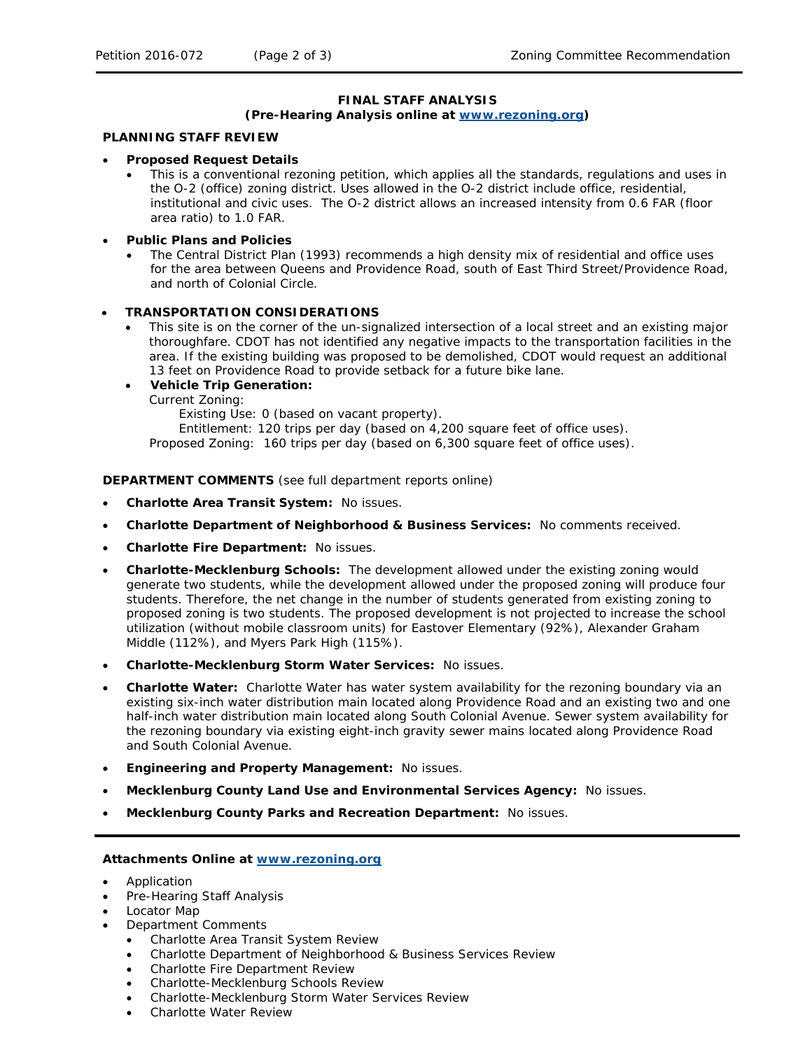# **FINAL STAFF ANALYSIS**

### **(Pre-Hearing Analysis online at [www.rezoning.org\)](http://www.rezoning.org/)**

## **PLANNING STAFF REVIEW**

#### • **Proposed Request Details**

This is a conventional rezoning petition, which applies all the standards, regulations and uses in the O-2 (office) zoning district. Uses allowed in the O-2 district include office, residential, institutional and civic uses. The O-2 district allows an increased intensity from 0.6 FAR (floor area ratio) to 1.0 FAR.

### • **Public Plans and Policies**

• The *Central District Plan* (1993) recommends a high density mix of residential and office uses for the area between Queens and Providence Road, south of East Third Street/Providence Road, and north of Colonial Circle.

#### • **TRANSPORTATION CONSIDERATIONS**

This site is on the corner of the un-signalized intersection of a local street and an existing major thoroughfare. CDOT has not identified any negative impacts to the transportation facilities in the area. If the existing building was proposed to be demolished, CDOT would request an additional 13 feet on Providence Road to provide setback for a future bike lane.

### • **Vehicle Trip Generation:**

Current Zoning:

Existing Use: 0 (based on vacant property).

Entitlement: 120 trips per day (based on 4,200 square feet of office uses).

Proposed Zoning: 160 trips per day (based on 6,300 square feet of office uses).

#### **DEPARTMENT COMMENTS** (see full department reports online)

- **Charlotte Area Transit System:** No issues.
- **Charlotte Department of Neighborhood & Business Services:** No comments received.
- **Charlotte Fire Department:** No issues.
- **Charlotte-Mecklenburg Schools:** The development allowed under the existing zoning would generate two students, while the development allowed under the proposed zoning will produce four students. Therefore, the net change in the number of students generated from existing zoning to proposed zoning is two students. The proposed development is not projected to increase the school utilization (without mobile classroom units) for Eastover Elementary (92%), Alexander Graham Middle (112%), and Myers Park High (115%).
- **Charlotte-Mecklenburg Storm Water Services:** No issues.
- **Charlotte Water:** Charlotte Water has water system availability for the rezoning boundary via an existing six-inch water distribution main located along Providence Road and an existing two and one half-inch water distribution main located along South Colonial Avenue. Sewer system availability for the rezoning boundary via existing eight-inch gravity sewer mains located along Providence Road and South Colonial Avenue.
- **Engineering and Property Management:** No issues.
- **Mecklenburg County Land Use and Environmental Services Agency:** No issues.
- **Mecklenburg County Parks and Recreation Department:** No issues.

#### **Attachments Online at [www.rezoning.org](http://www.rezoning.org/)**

- Application
- Pre-Hearing Staff Analysis
- Locator Map
- Department Comments
	- Charlotte Area Transit System Review
	- Charlotte Department of Neighborhood & Business Services Review
	- Charlotte Fire Department Review
	- Charlotte-Mecklenburg Schools Review
	- Charlotte-Mecklenburg Storm Water Services Review
	- Charlotte Water Review